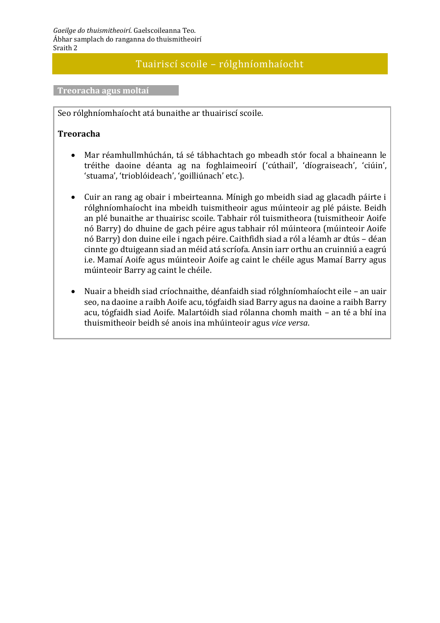## Tuairiscí scoile – rólghníomhaíocht

**Treoracha agus moltaí**

Seo rólghníomhaíocht atá bunaithe ar thuairiscí scoile.

## **Treoracha**

- Mar réamhullmhúchán, tá sé tábhachtach go mbeadh stór focal a bhaineann le tréithe daoine déanta ag na foghlaimeoirí ('cúthail', 'díograiseach', 'ciúin', 'stuama', 'trioblóideach', 'goilliúnach' etc.).
- Cuir an rang ag obair i mbeirteanna. Mínigh go mbeidh siad ag glacadh páirte i rólghníomhaíocht ina mbeidh tuismitheoir agus múinteoir ag plé páiste. Beidh an plé bunaithe ar thuairisc scoile. Tabhair ról tuismitheora (tuismitheoir Aoife nó Barry) do dhuine de gach péire agus tabhair ról múinteora (múinteoir Aoife nó Barry) don duine eile i ngach péire. Caithfidh siad a ról a léamh ar dtús – déan cinnte go dtuigeann siad an méid atá scríofa. Ansin iarr orthu an cruinniú a eagrú i.e. Mamaí Aoife agus múinteoir Aoife ag caint le chéile agus Mamaí Barry agus múinteoir Barry ag caint le chéile.
- Nuair a bheidh siad críochnaithe, déanfaidh siad rólghníomhaíocht eile an uair seo, na daoine a raibh Aoife acu, tógfaidh siad Barry agus na daoine a raibh Barry acu, tógfaidh siad Aoife. Malartóidh siad rólanna chomh maith – an té a bhí ina thuismitheoir beidh sé anois ina mhúinteoir agus *vice versa*.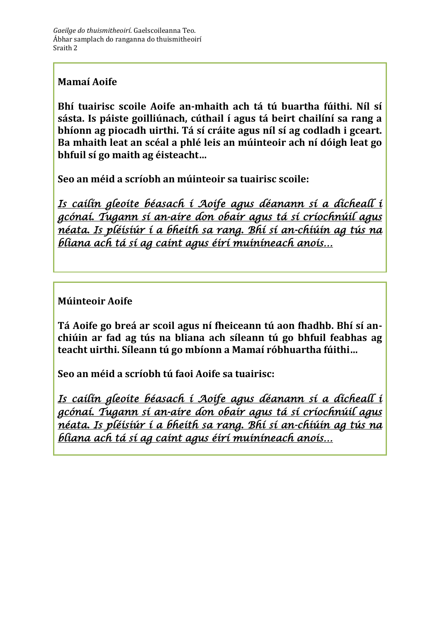## **Mamaí Aoife**

**Bhí tuairisc scoile Aoife an-mhaith ach tá tú buartha fúithi. Níl sí sásta. Is páiste goilliúnach, cúthail í agus tá beirt chailíní sa rang a bhíonn ag piocadh uirthi. Tá sí cráite agus níl sí ag codladh i gceart. Ba mhaith leat an scéal a phlé leis an múinteoir ach ní dóigh leat go bhfuil sí go maith ag éisteacht…**

**Seo an méid a scríobh an múinteoir sa tuairisc scoile:**

*Is cailín gleoite béasach í Aoife agus déanann sí a dícheall i gcónaí. Tugann sí an-aire don obair agus tá sí críochnúil agus néata. Is pléisiúr í a bheith sa rang. Bhí sí an-chiúin ag tús na bliana ach tá sí ag caint agus éirí muiníneach anois…* 

## **Múinteoir Aoife**

**Tá Aoife go breá ar scoil agus ní fheiceann tú aon fhadhb. Bhí sí anchiúin ar fad ag tús na bliana ach síleann tú go bhfuil feabhas ag teacht uirthi. Síleann tú go mbíonn a Mamaí róbhuartha fúithi…**

**Seo an méid a scríobh tú faoi Aoife sa tuairisc:**

*Is cailín gleoite béasach í Aoife agus déanann sí a dícheall i gcónaí. Tugann sí an-aire don obair agus tá sí críochnúil agus néata. Is pléisiúr í a bheith sa rang. Bhí sí an-chiúin ag tús na bliana ach tá sí ag caint agus éirí muiníneach anois…*